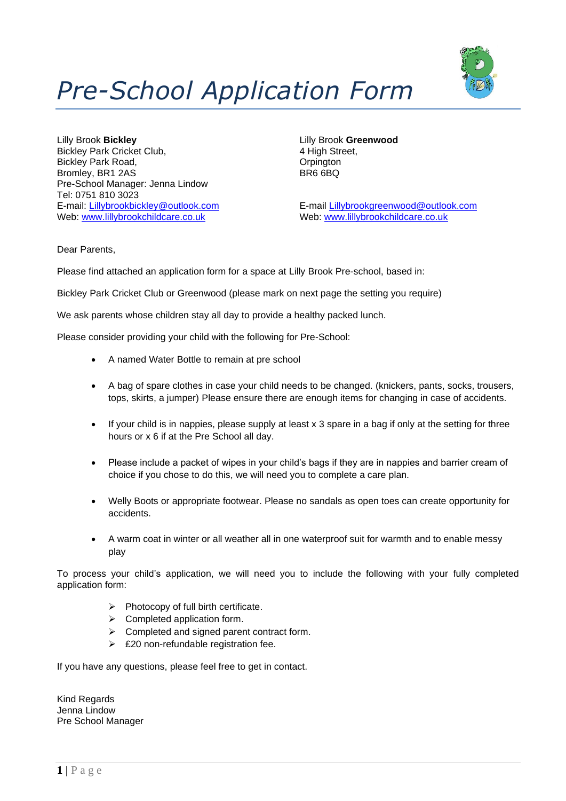

# *Pre-School Application Form*

Lilly Brook **Bickley** Lilly Brook **Greenwood** Bickley Park Cricket Club, 4 High Street, Bickley Park Road, Castle Communication of the Communication of the Communication of the Orpington of the Orpington of the Orpington of the Orpington of the Orpington of the Orpington of the Orpington of the Orpington of t Bromley, BR1 2AS Pre-School Manager: Jenna Lindow Tel: 0751 810 3023 Web: [www.lillybrookchildcare.co.uk](http://www.lillybrookchildcare.co.uk/) Web: www.lillybrookchildcare.co.uk

E-mail: [Lillybrookbickley@outlook.com](mailto:Lillybrookbickley@outlook.com) E-mail [Lillybrookgreenwood@outlook.com](mailto:Lillybrookgreenwood@outlook.com)

Dear Parents,

Please find attached an application form for a space at Lilly Brook Pre-school, based in:

Bickley Park Cricket Club or Greenwood (please mark on next page the setting you require)

We ask parents whose children stay all day to provide a healthy packed lunch.

Please consider providing your child with the following for Pre-School:

- A named Water Bottle to remain at pre school
- A bag of spare clothes in case your child needs to be changed. (knickers, pants, socks, trousers, tops, skirts, a jumper) Please ensure there are enough items for changing in case of accidents.
- If your child is in nappies, please supply at least  $x$  3 spare in a bag if only at the setting for three hours or x 6 if at the Pre School all day.
- Please include a packet of wipes in your child's bags if they are in nappies and barrier cream of choice if you chose to do this, we will need you to complete a care plan.
- Welly Boots or appropriate footwear. Please no sandals as open toes can create opportunity for accidents.
- A warm coat in winter or all weather all in one waterproof suit for warmth and to enable messy play

To process your child's application, we will need you to include the following with your fully completed application form:

- ➢ Photocopy of full birth certificate.
- $\triangleright$  Completed application form.
- ➢ Completed and signed parent contract form.
- $\geq$  £20 non-refundable registration fee.

If you have any questions, please feel free to get in contact.

Kind Regards Jenna Lindow Pre School Manager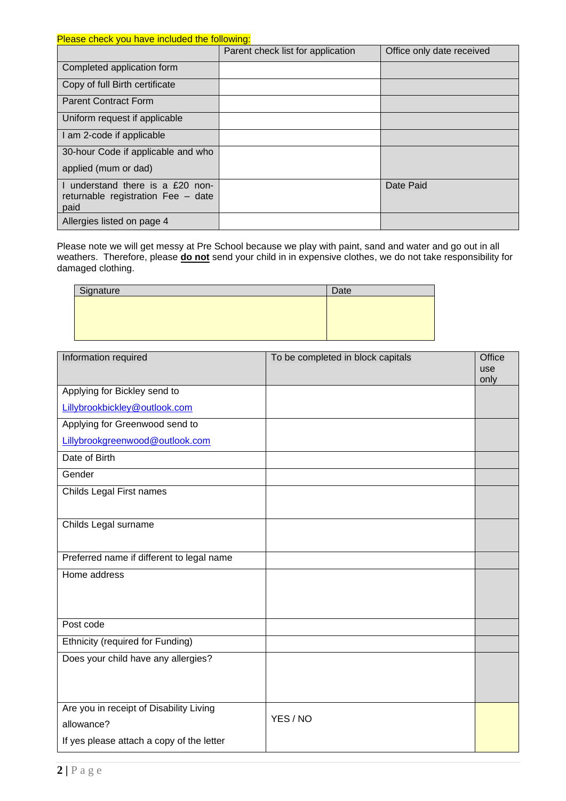Please check you have included the following:

|                                            | Parent check list for application | Office only date received |
|--------------------------------------------|-----------------------------------|---------------------------|
| Completed application form                 |                                   |                           |
| Copy of full Birth certificate             |                                   |                           |
| <b>Parent Contract Form</b>                |                                   |                           |
| Uniform request if applicable              |                                   |                           |
| I am 2-code if applicable                  |                                   |                           |
| 30-hour Code if applicable and who         |                                   |                           |
| applied (mum or dad)                       |                                   |                           |
| I understand there is a £20 non-           |                                   | Date Paid                 |
| returnable registration Fee - date<br>paid |                                   |                           |
| Allergies listed on page 4                 |                                   |                           |

Please note we will get messy at Pre School because we play with paint, sand and water and go out in all weathers. Therefore, please **do not** send your child in in expensive clothes, we do not take responsibility for damaged clothing.

| Signature | Date |
|-----------|------|
|           |      |
|           |      |
|           |      |
|           |      |

| Information required                      | To be completed in block capitals | Office      |
|-------------------------------------------|-----------------------------------|-------------|
|                                           |                                   | use<br>only |
| Applying for Bickley send to              |                                   |             |
| Lillybrookbickley@outlook.com             |                                   |             |
| Applying for Greenwood send to            |                                   |             |
| Lillybrookgreenwood@outlook.com           |                                   |             |
| Date of Birth                             |                                   |             |
| Gender                                    |                                   |             |
| Childs Legal First names                  |                                   |             |
|                                           |                                   |             |
| Childs Legal surname                      |                                   |             |
|                                           |                                   |             |
| Preferred name if different to legal name |                                   |             |
| Home address                              |                                   |             |
|                                           |                                   |             |
|                                           |                                   |             |
| Post code                                 |                                   |             |
| Ethnicity (required for Funding)          |                                   |             |
| Does your child have any allergies?       |                                   |             |
|                                           |                                   |             |
|                                           |                                   |             |
| Are you in receipt of Disability Living   | YES / NO                          |             |
| allowance?                                |                                   |             |
| If yes please attach a copy of the letter |                                   |             |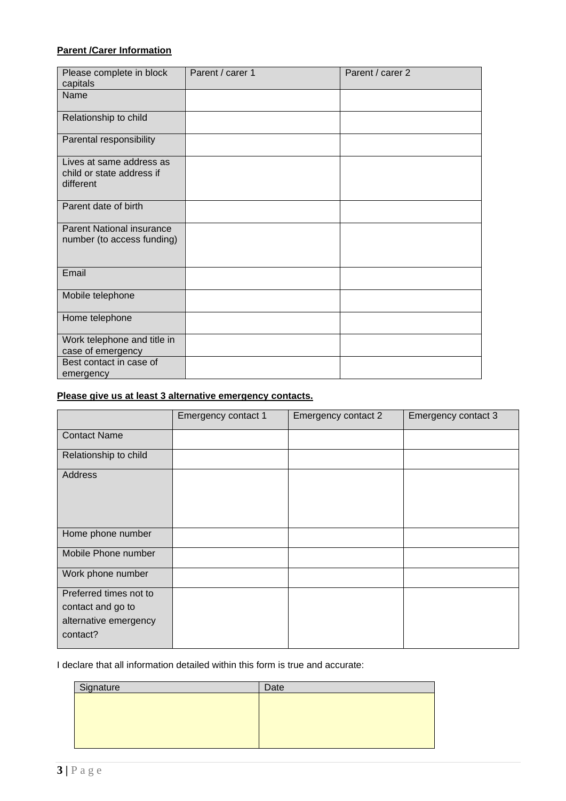# **Parent /Carer Information**

| Please complete in block<br>capitals                               | Parent / carer 1 | Parent / carer 2 |
|--------------------------------------------------------------------|------------------|------------------|
| Name                                                               |                  |                  |
| Relationship to child                                              |                  |                  |
| Parental responsibility                                            |                  |                  |
| Lives at same address as<br>child or state address if<br>different |                  |                  |
| Parent date of birth                                               |                  |                  |
| <b>Parent National insurance</b><br>number (to access funding)     |                  |                  |
| Email                                                              |                  |                  |
| Mobile telephone                                                   |                  |                  |
| Home telephone                                                     |                  |                  |
| Work telephone and title in<br>case of emergency                   |                  |                  |
| Best contact in case of<br>emergency                               |                  |                  |

# **Please give us at least 3 alternative emergency contacts.**

|                                                                                  | Emergency contact 1 | Emergency contact 2 | Emergency contact 3 |
|----------------------------------------------------------------------------------|---------------------|---------------------|---------------------|
| <b>Contact Name</b>                                                              |                     |                     |                     |
| Relationship to child                                                            |                     |                     |                     |
| Address                                                                          |                     |                     |                     |
| Home phone number                                                                |                     |                     |                     |
| Mobile Phone number                                                              |                     |                     |                     |
| Work phone number                                                                |                     |                     |                     |
| Preferred times not to<br>contact and go to<br>alternative emergency<br>contact? |                     |                     |                     |

I declare that all information detailed within this form is true and accurate:

| Signature | Date |
|-----------|------|
|           |      |
|           |      |
|           |      |
|           |      |
|           |      |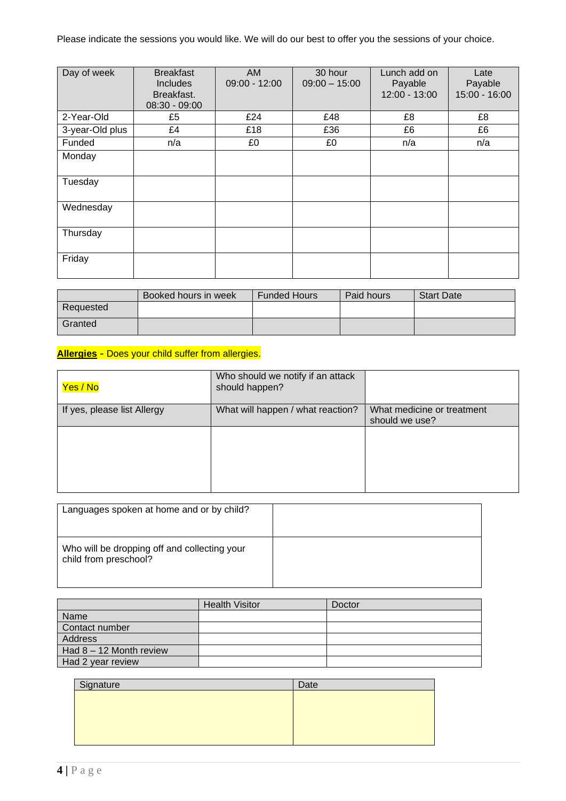Please indicate the sessions you would like. We will do our best to offer you the sessions of your choice.

| Day of week     | <b>Breakfast</b><br><b>Includes</b><br>Breakfast.<br>$08:30 - 09:00$ | AM<br>$09:00 - 12:00$ | 30 hour<br>$09:00 - 15:00$ | Lunch add on<br>Payable<br>12:00 - 13:00 | Late<br>Payable<br>$15:00 - 16:00$ |
|-----------------|----------------------------------------------------------------------|-----------------------|----------------------------|------------------------------------------|------------------------------------|
| 2-Year-Old      | £5                                                                   | £24                   | £48                        | £8                                       | £8                                 |
| 3-year-Old plus | £4                                                                   | £18                   | £36                        | £6                                       | £6                                 |
| Funded          | n/a                                                                  | £0                    | £0                         | n/a                                      | n/a                                |
| Monday          |                                                                      |                       |                            |                                          |                                    |
| Tuesday         |                                                                      |                       |                            |                                          |                                    |
| Wednesday       |                                                                      |                       |                            |                                          |                                    |
| Thursday        |                                                                      |                       |                            |                                          |                                    |
| Friday          |                                                                      |                       |                            |                                          |                                    |

|           | Booked hours in week | <b>Funded Hours</b> | Paid hours | <b>Start Date</b> |
|-----------|----------------------|---------------------|------------|-------------------|
| Requested |                      |                     |            |                   |
| Granted   |                      |                     |            |                   |

# **Allergies** - Does your child suffer from allergies.

| Yes / No                    | Who should we notify if an attack<br>should happen? |                                              |
|-----------------------------|-----------------------------------------------------|----------------------------------------------|
| If yes, please list Allergy | What will happen / what reaction?                   | What medicine or treatment<br>should we use? |
|                             |                                                     |                                              |

| Languages spoken at home and or by child?                             |  |
|-----------------------------------------------------------------------|--|
| Who will be dropping off and collecting your<br>child from preschool? |  |

|                         | <b>Health Visitor</b> | Doctor |
|-------------------------|-----------------------|--------|
| Name                    |                       |        |
| Contact number          |                       |        |
| Address                 |                       |        |
| Had 8 - 12 Month review |                       |        |
| Had 2 year review       |                       |        |

| Signature | Date |
|-----------|------|
|           |      |
|           |      |
|           |      |
|           |      |
|           |      |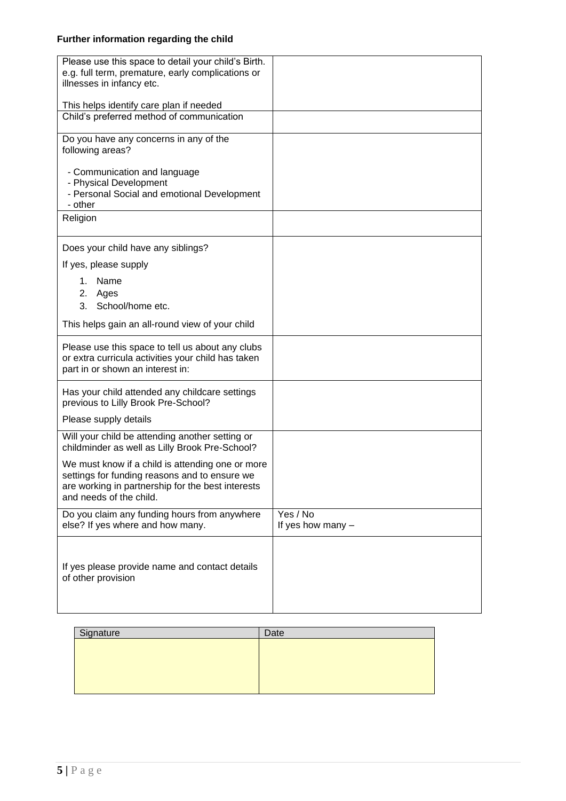# **Further information regarding the child**

| Please use this space to detail your child's Birth. |                     |
|-----------------------------------------------------|---------------------|
| e.g. full term, premature, early complications or   |                     |
| illnesses in infancy etc.                           |                     |
|                                                     |                     |
| This helps identify care plan if needed             |                     |
| Child's preferred method of communication           |                     |
|                                                     |                     |
| Do you have any concerns in any of the              |                     |
| following areas?                                    |                     |
|                                                     |                     |
| - Communication and language                        |                     |
|                                                     |                     |
| - Physical Development                              |                     |
| - Personal Social and emotional Development         |                     |
| - other                                             |                     |
| Religion                                            |                     |
|                                                     |                     |
|                                                     |                     |
| Does your child have any siblings?                  |                     |
| If yes, please supply                               |                     |
|                                                     |                     |
| Name<br>1.                                          |                     |
| 2. Ages                                             |                     |
| 3. School/home etc.                                 |                     |
|                                                     |                     |
| This helps gain an all-round view of your child     |                     |
|                                                     |                     |
| Please use this space to tell us about any clubs    |                     |
| or extra curricula activities your child has taken  |                     |
| part in or shown an interest in:                    |                     |
|                                                     |                     |
| Has your child attended any childcare settings      |                     |
| previous to Lilly Brook Pre-School?                 |                     |
| Please supply details                               |                     |
|                                                     |                     |
| Will your child be attending another setting or     |                     |
| childminder as well as Lilly Brook Pre-School?      |                     |
| We must know if a child is attending one or more    |                     |
| settings for funding reasons and to ensure we       |                     |
| are working in partnership for the best interests   |                     |
| and needs of the child.                             |                     |
|                                                     |                     |
| Do you claim any funding hours from anywhere        | Yes / No            |
| else? If yes where and how many.                    | If yes how many $-$ |
|                                                     |                     |
|                                                     |                     |
|                                                     |                     |
| If yes please provide name and contact details      |                     |
| of other provision                                  |                     |
|                                                     |                     |
|                                                     |                     |
|                                                     |                     |

| Signature | Date |
|-----------|------|
|           |      |
|           |      |
|           |      |
|           |      |
|           |      |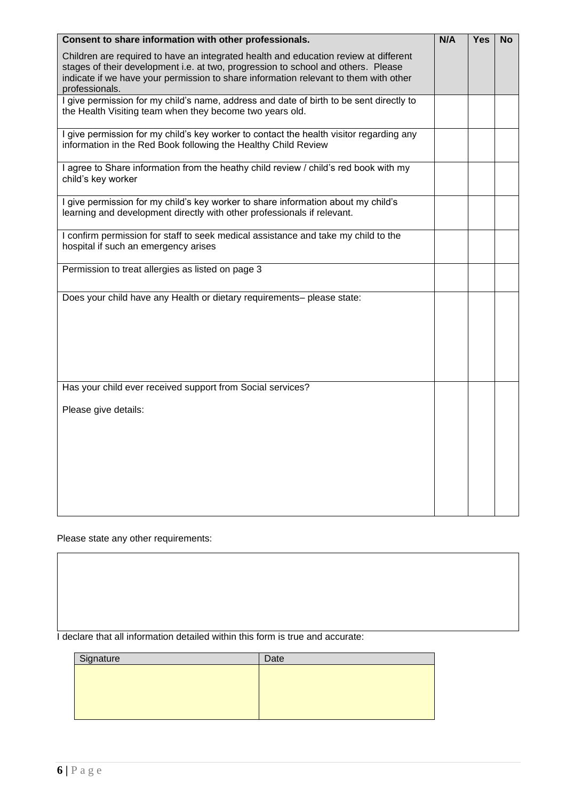| Consent to share information with other professionals.                                                                                                                                                                                                                              | N/A | <b>Yes</b> | <b>No</b> |
|-------------------------------------------------------------------------------------------------------------------------------------------------------------------------------------------------------------------------------------------------------------------------------------|-----|------------|-----------|
| Children are required to have an integrated health and education review at different<br>stages of their development i.e. at two, progression to school and others. Please<br>indicate if we have your permission to share information relevant to them with other<br>professionals. |     |            |           |
| I give permission for my child's name, address and date of birth to be sent directly to<br>the Health Visiting team when they become two years old.                                                                                                                                 |     |            |           |
| I give permission for my child's key worker to contact the health visitor regarding any<br>information in the Red Book following the Healthy Child Review                                                                                                                           |     |            |           |
| I agree to Share information from the heathy child review / child's red book with my<br>child's key worker                                                                                                                                                                          |     |            |           |
| I give permission for my child's key worker to share information about my child's<br>learning and development directly with other professionals if relevant.                                                                                                                        |     |            |           |
| I confirm permission for staff to seek medical assistance and take my child to the<br>hospital if such an emergency arises                                                                                                                                                          |     |            |           |
| Permission to treat allergies as listed on page 3                                                                                                                                                                                                                                   |     |            |           |
| Does your child have any Health or dietary requirements- please state:                                                                                                                                                                                                              |     |            |           |
| Has your child ever received support from Social services?                                                                                                                                                                                                                          |     |            |           |
| Please give details:                                                                                                                                                                                                                                                                |     |            |           |
|                                                                                                                                                                                                                                                                                     |     |            |           |

Please state any other requirements:

| I declare that all information detailed within this form is true and accurate: |  |  |
|--------------------------------------------------------------------------------|--|--|
|--------------------------------------------------------------------------------|--|--|

| Signature | Date |
|-----------|------|
|           |      |
|           |      |
|           |      |
|           |      |
|           |      |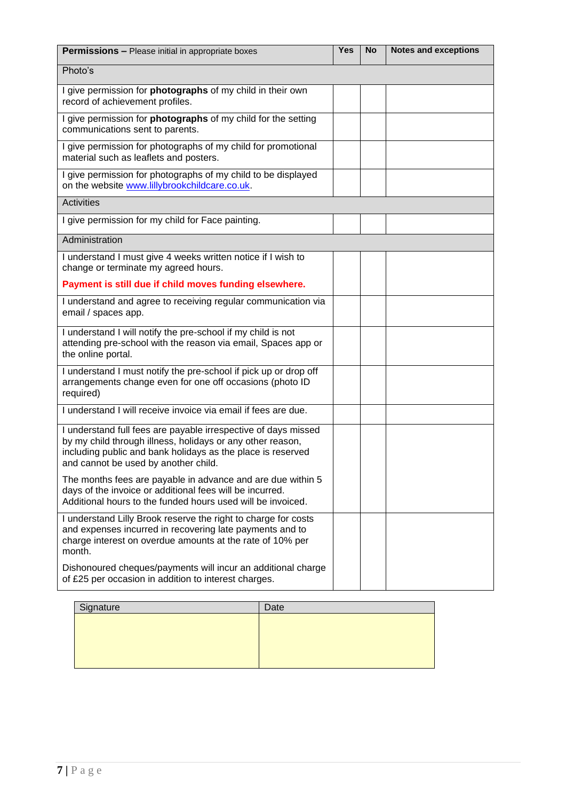| <b>Permissions - Please initial in appropriate boxes</b>                                                                                                                                                                            | <b>Yes</b> | <b>No</b> | <b>Notes and exceptions</b> |
|-------------------------------------------------------------------------------------------------------------------------------------------------------------------------------------------------------------------------------------|------------|-----------|-----------------------------|
| Photo's                                                                                                                                                                                                                             |            |           |                             |
| I give permission for photographs of my child in their own<br>record of achievement profiles.                                                                                                                                       |            |           |                             |
| I give permission for <b>photographs</b> of my child for the setting<br>communications sent to parents.                                                                                                                             |            |           |                             |
| I give permission for photographs of my child for promotional<br>material such as leaflets and posters.                                                                                                                             |            |           |                             |
| I give permission for photographs of my child to be displayed<br>on the website www.lillybrookchildcare.co.uk.                                                                                                                      |            |           |                             |
| <b>Activities</b>                                                                                                                                                                                                                   |            |           |                             |
| I give permission for my child for Face painting.                                                                                                                                                                                   |            |           |                             |
| Administration                                                                                                                                                                                                                      |            |           |                             |
| I understand I must give 4 weeks written notice if I wish to<br>change or terminate my agreed hours.                                                                                                                                |            |           |                             |
| Payment is still due if child moves funding elsewhere.                                                                                                                                                                              |            |           |                             |
| I understand and agree to receiving regular communication via<br>email / spaces app.                                                                                                                                                |            |           |                             |
| I understand I will notify the pre-school if my child is not<br>attending pre-school with the reason via email, Spaces app or<br>the online portal.                                                                                 |            |           |                             |
| I understand I must notify the pre-school if pick up or drop off<br>arrangements change even for one off occasions (photo ID<br>required)                                                                                           |            |           |                             |
| I understand I will receive invoice via email if fees are due.                                                                                                                                                                      |            |           |                             |
| I understand full fees are payable irrespective of days missed<br>by my child through illness, holidays or any other reason,<br>including public and bank holidays as the place is reserved<br>and cannot be used by another child. |            |           |                             |
| The months fees are payable in advance and are due within 5<br>days of the invoice or additional fees will be incurred.<br>Additional hours to the funded hours used will be invoiced.                                              |            |           |                             |
| I understand Lilly Brook reserve the right to charge for costs<br>and expenses incurred in recovering late payments and to<br>charge interest on overdue amounts at the rate of 10% per<br>month.                                   |            |           |                             |
| Dishonoured cheques/payments will incur an additional charge<br>of £25 per occasion in addition to interest charges.                                                                                                                |            |           |                             |
| Signature<br>Date                                                                                                                                                                                                                   |            |           |                             |

| Signature | Date |
|-----------|------|
|           |      |
|           |      |
|           |      |
|           |      |
|           |      |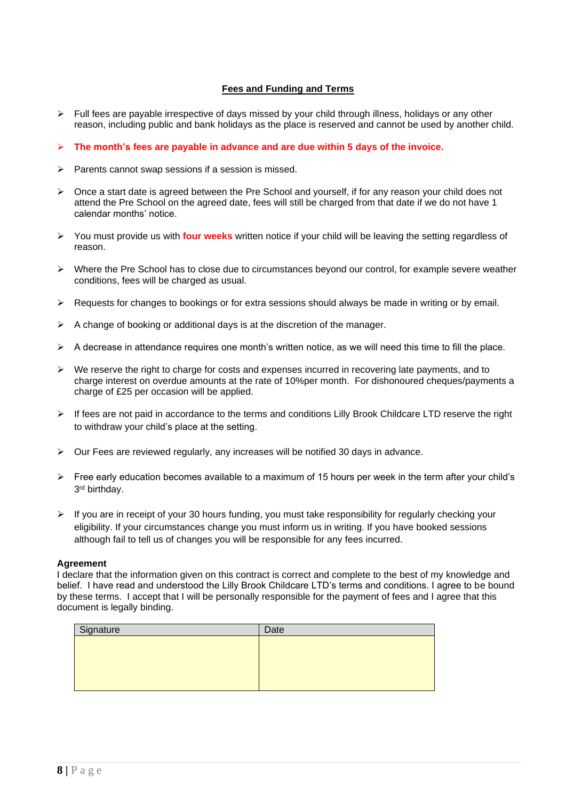## **Fees and Funding and Terms**

- $\triangleright$  Full fees are payable irrespective of days missed by your child through illness, holidays or any other reason, including public and bank holidays as the place is reserved and cannot be used by another child.
- ➢ **The month's fees are payable in advance and are due within 5 days of the invoice.**
- ➢ Parents cannot swap sessions if a session is missed.
- ➢ Once a start date is agreed between the Pre School and yourself, if for any reason your child does not attend the Pre School on the agreed date, fees will still be charged from that date if we do not have 1 calendar months' notice.
- ➢ You must provide us with **four weeks** written notice if your child will be leaving the setting regardless of reason.
- ➢ Where the Pre School has to close due to circumstances beyond our control, for example severe weather conditions, fees will be charged as usual.
- ➢ Requests for changes to bookings or for extra sessions should always be made in writing or by email.
- $\triangleright$  A change of booking or additional days is at the discretion of the manager.
- $\triangleright$  A decrease in attendance requires one month's written notice, as we will need this time to fill the place.
- ➢ We reserve the right to charge for costs and expenses incurred in recovering late payments, and to charge interest on overdue amounts at the rate of 10%per month. For dishonoured cheques/payments a charge of £25 per occasion will be applied.
- ➢ If fees are not paid in accordance to the terms and conditions Lilly Brook Childcare LTD reserve the right to withdraw your child's place at the setting.
- $\triangleright$  Our Fees are reviewed regularly, any increases will be notified 30 days in advance.
- ➢ Free early education becomes available to a maximum of 15 hours per week in the term after your child's 3 rd birthday.
- $\triangleright$  If you are in receipt of your 30 hours funding, you must take responsibility for regularly checking your eligibility. If your circumstances change you must inform us in writing. If you have booked sessions although fail to tell us of changes you will be responsible for any fees incurred.

#### **Agreement**

I declare that the information given on this contract is correct and complete to the best of my knowledge and belief. I have read and understood the Lilly Brook Childcare LTD's terms and conditions. I agree to be bound by these terms. I accept that I will be personally responsible for the payment of fees and I agree that this document is legally binding.

| Signature | Date |
|-----------|------|
|           |      |
|           |      |
|           |      |
|           |      |
|           |      |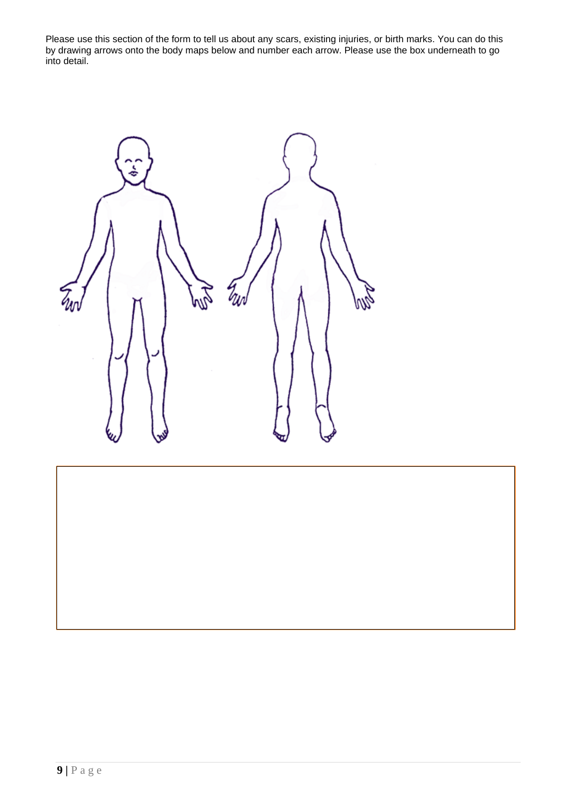Please use this section of the form to tell us about any scars, existing injuries, or birth marks. You can do this by drawing arrows onto the body maps below and number each arrow. Please use the box underneath to go into detail.